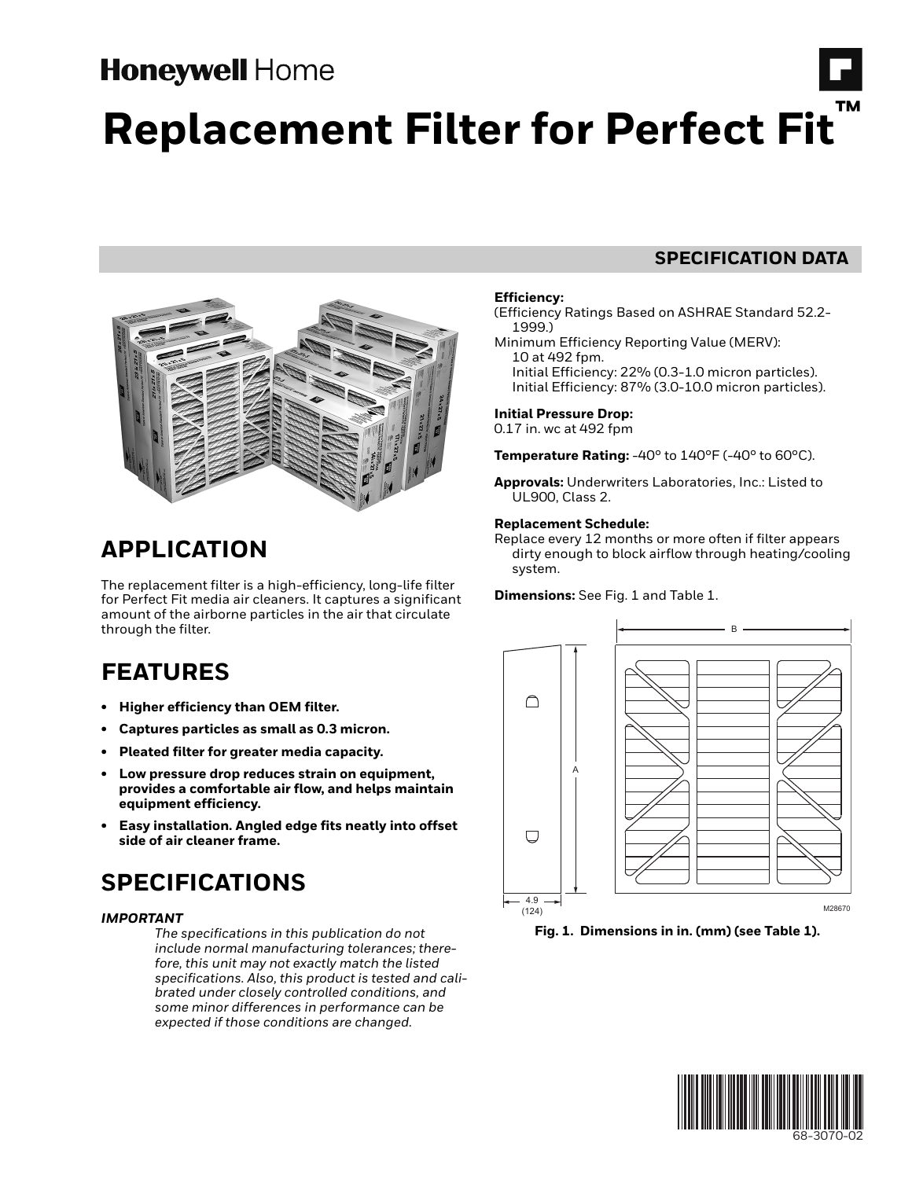# **Honeywell Home**

# **Replacement Filter for Perfect Fit**



# **APPLICATION**

The replacement filter is a high-efficiency, long-life filter for Perfect Fit media air cleaners. It captures a significant amount of the airborne particles in the air that circulate through the filter.

# **FEATURES**

- **Higher efficiency than OEM filter.**
- **Captures particles as small as 0.3 micron.**
- **Pleated filter for greater media capacity.**
- **Low pressure drop reduces strain on equipment, provides a comfortable air flow, and helps maintain equipment efficiency.**
- **Easy installation. Angled edge fits neatly into offset side of air cleaner frame.**

# **SPECIFICATIONS**

## *IMPORTANT*

*The specifications in this publication do not include normal manufacturing tolerances; therefore, this unit may not exactly match the listed specifications. Also, this product is tested and calibrated under closely controlled conditions, and some minor differences in performance can be expected if those conditions are changed.*

## **SPECIFICATION DATA**

## **Efficiency:**

(Efficiency Ratings Based on ASHRAE Standard 52.2- 1999.)

Minimum Efficiency Reporting Value (MERV): 10 at 492 fpm. Initial Efficiency: 22% (0.3-1.0 micron particles). Initial Efficiency: 87% (3.0-10.0 micron particles).

## **Initial Pressure Drop:**

0.17 in. wc at 492 fpm

**Temperature Rating:** -40° to 140°F (-40° to 60°C).

**Approvals:** Underwriters Laboratories, Inc.: Listed to UL900, Class 2.

## **Replacement Schedule:**

Replace every 12 months or more often if filter appears dirty enough to block airflow through heating/cooling system.

**Dimensions:** See Fig. 1 and Table 1.